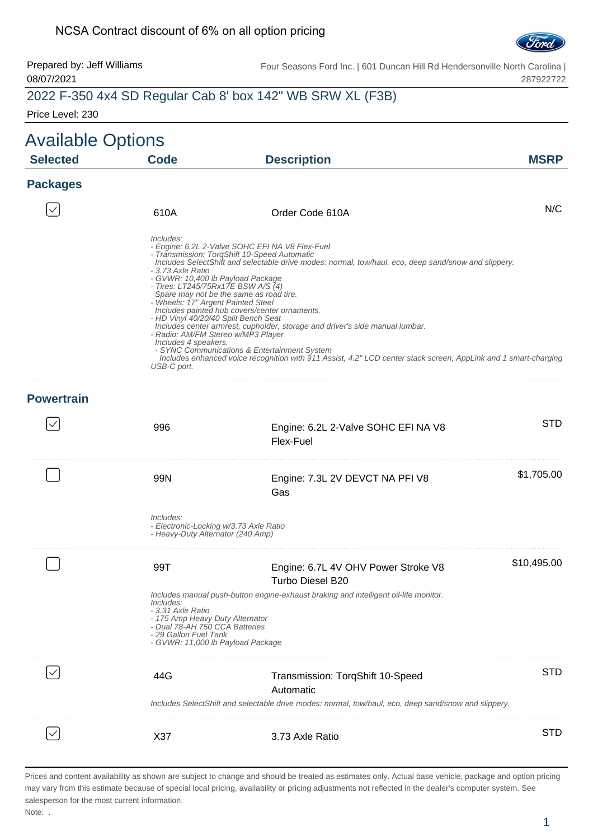#### NCSA Contract discount of 6% on all option pricing



Prepared by: Jeff Williams 08/07/2021 Four Seasons Ford Inc. | 601 Duncan Hill Rd Hendersonville North Carolina | 287922722

#### 2022 F-350 4x4 SD Regular Cab 8' box 142" WB SRW XL (F3B)

Price Level: 230

| <b>Available Options</b> |                                                                                                                                                                                                                                                                        |                                                                                                                                                                                                                                                                                                                                                                                                                                                                                                                                                        |             |
|--------------------------|------------------------------------------------------------------------------------------------------------------------------------------------------------------------------------------------------------------------------------------------------------------------|--------------------------------------------------------------------------------------------------------------------------------------------------------------------------------------------------------------------------------------------------------------------------------------------------------------------------------------------------------------------------------------------------------------------------------------------------------------------------------------------------------------------------------------------------------|-------------|
| <b>Selected</b>          | <b>Code</b>                                                                                                                                                                                                                                                            | <b>Description</b>                                                                                                                                                                                                                                                                                                                                                                                                                                                                                                                                     | <b>MSRP</b> |
| <b>Packages</b>          |                                                                                                                                                                                                                                                                        |                                                                                                                                                                                                                                                                                                                                                                                                                                                                                                                                                        |             |
|                          | 610A                                                                                                                                                                                                                                                                   | Order Code 610A                                                                                                                                                                                                                                                                                                                                                                                                                                                                                                                                        | N/C         |
|                          | Includes:<br>- 3.73 Axle Ratio<br>- GVWR: 10,400 lb Payload Package<br>- Tires: LT245/75Rx17E BSW A/S $(4)$<br>- Wheels: 17" Argent Painted Steel<br>- HD Vinyl 40/20/40 Split Bench Seat<br>- Radio: AM/FM Stereo w/MP3 Player<br>Includes 4 speakers.<br>USB-C port. | - Engine: 6.2L 2-Valve SOHC EFI NA V8 Flex-Fuel<br>- Transmission: TorqShift 10-Speed Automatic<br>Includes SelectShift and selectable drive modes: normal, tow/haul, eco, deep sand/snow and slippery.<br>Spare may not be the same as road tire.<br>Includes painted hub covers/center ornaments.<br>Includes center armrest, cupholder, storage and driver's side manual lumbar.<br>- SYNC Communications & Entertainment System<br>Includes enhanced voice recognition with 911 Assist, 4.2" LCD center stack screen, AppLink and 1 smart-charging |             |
| <b>Powertrain</b>        |                                                                                                                                                                                                                                                                        |                                                                                                                                                                                                                                                                                                                                                                                                                                                                                                                                                        |             |
|                          | 996                                                                                                                                                                                                                                                                    | Engine: 6.2L 2-Valve SOHC EFI NA V8<br>Flex-Fuel                                                                                                                                                                                                                                                                                                                                                                                                                                                                                                       | <b>STD</b>  |
|                          | 99N                                                                                                                                                                                                                                                                    | Engine: 7.3L 2V DEVCT NA PFI V8<br>Gas                                                                                                                                                                                                                                                                                                                                                                                                                                                                                                                 | \$1,705.00  |
|                          | Includes:<br>- Electronic-Locking w/3.73 Axle Ratio<br>- Heavy-Duty Alternator (240 Amp)                                                                                                                                                                               |                                                                                                                                                                                                                                                                                                                                                                                                                                                                                                                                                        |             |
|                          | 99T                                                                                                                                                                                                                                                                    | Engine: 6.7L 4V OHV Power Stroke V8<br>Turbo Diesel B20                                                                                                                                                                                                                                                                                                                                                                                                                                                                                                | \$10,495.00 |
|                          | Includes:<br>- 3.31 Axle Ratio<br>- 175 Amp Heavy Duty Alternator<br>- Dual 78-AH 750 CCA Batteries<br>- 29 Gallon Fuel Tank<br>- GVWR: 11,000 lb Payload Package                                                                                                      | Includes manual push-button engine-exhaust braking and intelligent oil-life monitor.                                                                                                                                                                                                                                                                                                                                                                                                                                                                   |             |
|                          | 44G                                                                                                                                                                                                                                                                    | Transmission: TorqShift 10-Speed<br>Automatic<br>Includes SelectShift and selectable drive modes: normal, tow/haul, eco, deep sand/snow and slippery.                                                                                                                                                                                                                                                                                                                                                                                                  | STD         |
|                          |                                                                                                                                                                                                                                                                        |                                                                                                                                                                                                                                                                                                                                                                                                                                                                                                                                                        |             |
|                          | X37                                                                                                                                                                                                                                                                    | 3.73 Axle Ratio                                                                                                                                                                                                                                                                                                                                                                                                                                                                                                                                        | STD         |

Prices and content availability as shown are subject to change and should be treated as estimates only. Actual base vehicle, package and option pricing may vary from this estimate because of special local pricing, availability or pricing adjustments not reflected in the dealer's computer system. See salesperson for the most current information.

Note: .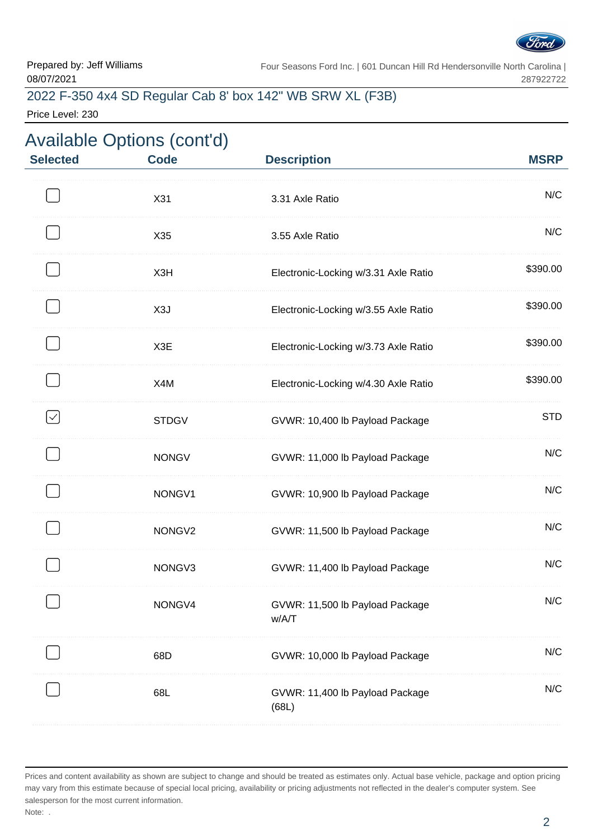

## 2022 F-350 4x4 SD Regular Cab 8' box 142" WB SRW XL (F3B)

Price Level: 230

| <b>Selected</b> | <b>Available Options (cont'd)</b><br><b>Code</b> | <b>Description</b>                       | <b>MSRP</b> |
|-----------------|--------------------------------------------------|------------------------------------------|-------------|
|                 | X31                                              | 3.31 Axle Ratio                          | N/C         |
|                 | X35                                              | 3.55 Axle Ratio                          | N/C         |
|                 | X3H                                              | Electronic-Locking w/3.31 Axle Ratio     | \$390.00    |
|                 | X3J                                              | Electronic-Locking w/3.55 Axle Ratio     | \$390.00    |
|                 | X3E                                              | Electronic-Locking w/3.73 Axle Ratio     | \$390.00    |
|                 | X4M                                              | Electronic-Locking w/4.30 Axle Ratio     | \$390.00    |
|                 | <b>STDGV</b>                                     | GVWR: 10,400 lb Payload Package          | <b>STD</b>  |
|                 | <b>NONGV</b>                                     | GVWR: 11,000 lb Payload Package          | N/C         |
|                 | NONGV1                                           | GVWR: 10,900 lb Payload Package          | N/C         |
|                 | NONGV2                                           | GVWR: 11,500 lb Payload Package          | N/C         |
|                 | NONGV3                                           | GVWR: 11,400 lb Payload Package          | N/C         |
|                 | NONGV4                                           | GVWR: 11,500 lb Payload Package<br>w/A/T | N/C         |
|                 | 68D                                              | GVWR: 10,000 lb Payload Package          | N/C         |
|                 | 68L                                              | GVWR: 11,400 lb Payload Package<br>(68L) | N/C         |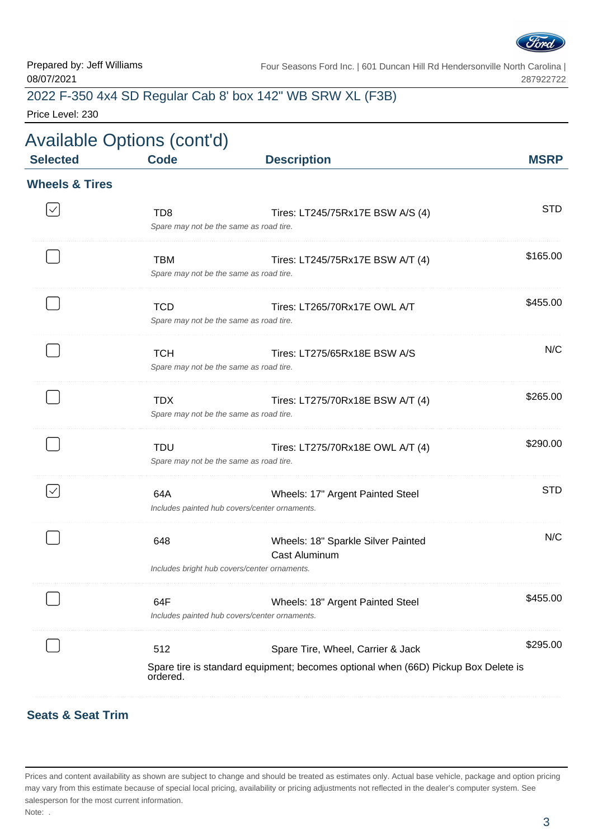

# 2022 F-350 4x4 SD Regular Cab 8' box 142" WB SRW XL (F3B)

Price Level: 230

| <b>Selected</b>           | <b>Code</b>                                                | <b>Description</b>                                                                                                      | <b>MSRP</b> |
|---------------------------|------------------------------------------------------------|-------------------------------------------------------------------------------------------------------------------------|-------------|
| <b>Wheels &amp; Tires</b> |                                                            |                                                                                                                         |             |
|                           | TD <sub>8</sub><br>Spare may not be the same as road tire. | Tires: LT245/75Rx17E BSW A/S (4)                                                                                        | <b>STD</b>  |
|                           | <b>TBM</b><br>Spare may not be the same as road tire.      | Tires: LT245/75Rx17E BSW A/T (4)                                                                                        | \$165.00    |
|                           | <b>TCD</b><br>Spare may not be the same as road tire.      | Tires: LT265/70Rx17E OWL A/T                                                                                            | \$455.00    |
|                           | <b>TCH</b><br>Spare may not be the same as road tire.      | Tires: LT275/65Rx18E BSW A/S                                                                                            | N/C         |
|                           | <b>TDX</b>                                                 | Tires: LT275/70Rx18E BSW A/T (4)<br>Spare may not be the same as road tire.                                             | \$265.00    |
|                           | <b>TDU</b>                                                 | Tires: LT275/70Rx18E OWL A/T (4)<br>Spare may not be the same as road tire.                                             | \$290.00    |
| $\checkmark$              | 64A                                                        | Wheels: 17" Argent Painted Steel<br>Includes painted hub covers/center ornaments.                                       | <b>STD</b>  |
|                           | 648                                                        | Wheels: 18" Sparkle Silver Painted<br><b>Cast Aluminum</b><br>Includes bright hub covers/center ornaments.              | N/C         |
|                           | 64F                                                        | Wheels: 18" Argent Painted Steel<br>Includes painted hub covers/center ornaments.                                       | \$455.00    |
|                           | 512<br>ordered.                                            | Spare Tire, Wheel, Carrier & Jack<br>Spare tire is standard equipment; becomes optional when (66D) Pickup Box Delete is | \$295.00    |

#### **Seats & Seat Trim**

Prices and content availability as shown are subject to change and should be treated as estimates only. Actual base vehicle, package and option pricing may vary from this estimate because of special local pricing, availability or pricing adjustments not reflected in the dealer's computer system. See salesperson for the most current information. Note: .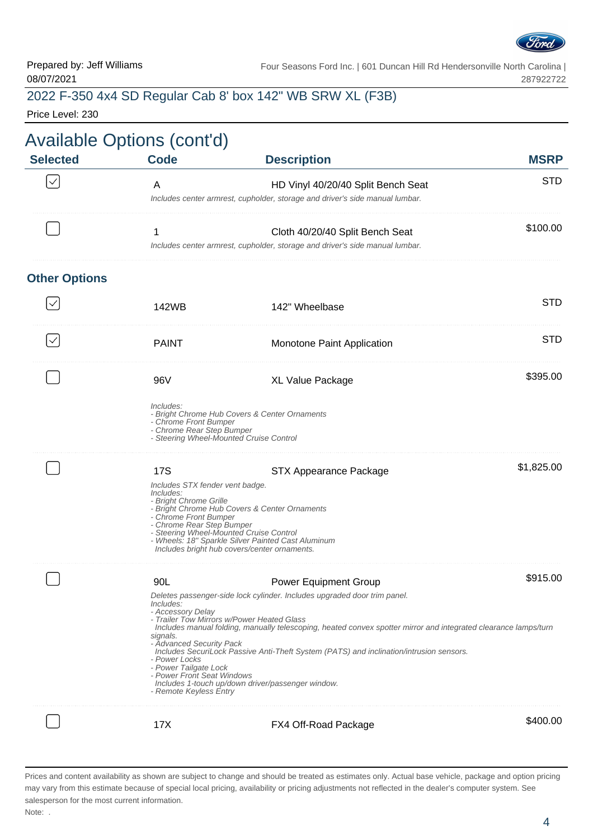

## 2022 F-350 4x4 SD Regular Cab 8' box 142" WB SRW XL (F3B)

Price Level: 230

|                      | <b>Available Options (cont'd)</b>                                                                                                                                                      |                                                                                                                                                                                                                                                                                                                                                                                                                           |             |
|----------------------|----------------------------------------------------------------------------------------------------------------------------------------------------------------------------------------|---------------------------------------------------------------------------------------------------------------------------------------------------------------------------------------------------------------------------------------------------------------------------------------------------------------------------------------------------------------------------------------------------------------------------|-------------|
| <b>Selected</b>      | <b>Code</b>                                                                                                                                                                            | <b>Description</b>                                                                                                                                                                                                                                                                                                                                                                                                        | <b>MSRP</b> |
|                      | A                                                                                                                                                                                      | HD Vinyl 40/20/40 Split Bench Seat<br>Includes center armrest, cupholder, storage and driver's side manual lumbar.                                                                                                                                                                                                                                                                                                        | <b>STD</b>  |
|                      | 1                                                                                                                                                                                      | Cloth 40/20/40 Split Bench Seat<br>Includes center armrest, cupholder, storage and driver's side manual lumbar.                                                                                                                                                                                                                                                                                                           | \$100.00    |
| <b>Other Options</b> |                                                                                                                                                                                        |                                                                                                                                                                                                                                                                                                                                                                                                                           |             |
|                      | 142WB                                                                                                                                                                                  | 142" Wheelbase                                                                                                                                                                                                                                                                                                                                                                                                            | <b>STD</b>  |
| $\checkmark$         | <b>PAINT</b>                                                                                                                                                                           | Monotone Paint Application                                                                                                                                                                                                                                                                                                                                                                                                | <b>STD</b>  |
|                      | 96V                                                                                                                                                                                    | XL Value Package                                                                                                                                                                                                                                                                                                                                                                                                          | \$395.00    |
|                      | Includes:<br>- Chrome Front Bumper<br>- Chrome Rear Step Bumper                                                                                                                        | - Bright Chrome Hub Covers & Center Ornaments<br>- Steering Wheel-Mounted Cruise Control                                                                                                                                                                                                                                                                                                                                  |             |
|                      | <b>17S</b><br>Includes STX fender vent badge.<br>Includes:<br>- Bright Chrome Grille<br>- Chrome Front Bumper<br>- Chrome Rear Step Bumper                                             | STX Appearance Package<br>- Bright Chrome Hub Covers & Center Ornaments<br>- Steering Wheel-Mounted Cruise Control<br>- Wheels: 18" Sparkle Silver Painted Cast Aluminum<br>Includes bright hub covers/center ornaments.                                                                                                                                                                                                  | \$1,825.00  |
|                      | 90L<br><i>Includes:</i><br>- Accessory Delay<br>signals.<br>- Advanced Security Pack<br>- Power Locks<br>- Power Tailgate Lock<br>- Power Front Seat Windows<br>- Remote Keyless Entry | <b>Power Equipment Group</b><br>Deletes passenger-side lock cylinder. Includes upgraded door trim panel.<br>- Trailer Tow Mirrors w/Power Heated Glass<br>Includes manual folding, manually telescoping, heated convex spotter mirror and integrated clearance lamps/turn<br>Includes SecuriLock Passive Anti-Theft System (PATS) and inclination/intrusion sensors.<br>Includes 1-touch up/down driver/passenger window. | \$915.00    |
|                      | 17X                                                                                                                                                                                    | FX4 Off-Road Package                                                                                                                                                                                                                                                                                                                                                                                                      | \$400.00    |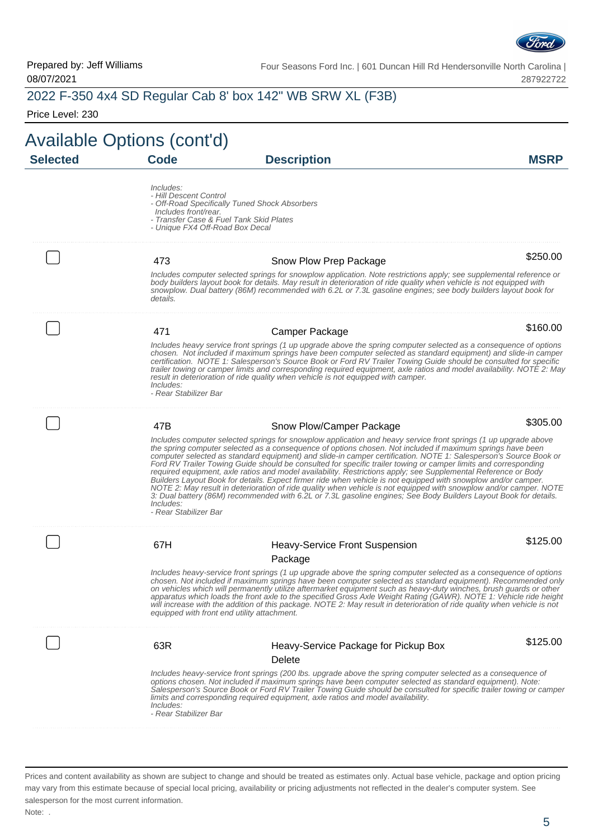

|                            |                                                                                                                                                                                            | 2022 F-350 4x4 SD Regular Cab 8' box 142" WB SRW XL (F3B)                                                                                                                                                                                                                                                                                                                                                                                                                                                                                                                                                                                                                                                                                                                                                                                                                                                                                          |             |
|----------------------------|--------------------------------------------------------------------------------------------------------------------------------------------------------------------------------------------|----------------------------------------------------------------------------------------------------------------------------------------------------------------------------------------------------------------------------------------------------------------------------------------------------------------------------------------------------------------------------------------------------------------------------------------------------------------------------------------------------------------------------------------------------------------------------------------------------------------------------------------------------------------------------------------------------------------------------------------------------------------------------------------------------------------------------------------------------------------------------------------------------------------------------------------------------|-------------|
| Price Level: 230           |                                                                                                                                                                                            |                                                                                                                                                                                                                                                                                                                                                                                                                                                                                                                                                                                                                                                                                                                                                                                                                                                                                                                                                    |             |
| Available Options (cont'd) |                                                                                                                                                                                            |                                                                                                                                                                                                                                                                                                                                                                                                                                                                                                                                                                                                                                                                                                                                                                                                                                                                                                                                                    |             |
| <b>Selected</b>            | <b>Code</b>                                                                                                                                                                                | <b>Description</b>                                                                                                                                                                                                                                                                                                                                                                                                                                                                                                                                                                                                                                                                                                                                                                                                                                                                                                                                 | <b>MSRP</b> |
|                            | Includes:<br>- Hill Descent Control<br>- Off-Road Specifically Tuned Shock Absorbers<br>Includes front/rear.<br>- Transfer Case & Fuel Tank Skid Plates<br>- Unique FX4 Off-Road Box Decal |                                                                                                                                                                                                                                                                                                                                                                                                                                                                                                                                                                                                                                                                                                                                                                                                                                                                                                                                                    |             |
|                            | 473                                                                                                                                                                                        | Snow Plow Prep Package                                                                                                                                                                                                                                                                                                                                                                                                                                                                                                                                                                                                                                                                                                                                                                                                                                                                                                                             | \$250.00    |
|                            | details.                                                                                                                                                                                   | Includes computer selected springs for snowplow application. Note restrictions apply; see supplemental reference or<br>body builders layout book for details. May result in deterioration of ride quality when vehicle is not equipped with<br>snowplow. Dual battery (86M) recommended with 6.2L or 7.3L gasoline engines; see body builders layout book for                                                                                                                                                                                                                                                                                                                                                                                                                                                                                                                                                                                      |             |
|                            | 471                                                                                                                                                                                        | Camper Package                                                                                                                                                                                                                                                                                                                                                                                                                                                                                                                                                                                                                                                                                                                                                                                                                                                                                                                                     | \$160.00    |
|                            | Includes:<br>- Rear Stabilizer Bar                                                                                                                                                         | Includes heavy service front springs (1 up upgrade above the spring computer selected as a consequence of options<br>chosen. Not included if maximum springs have been computer selected as standard equipment) and slide-in camper<br>certification. NOTE 1: Salesperson's Source Book or Ford RV Trailer Towing Guide should be consulted for specific<br>trailer towing or camper limits and corresponding required equipment, axle ratios and model availability. NOTE 2: May<br>result in deterioration of ride quality when vehicle is not equipped with camper.                                                                                                                                                                                                                                                                                                                                                                             |             |
|                            | 47B                                                                                                                                                                                        | Snow Plow/Camper Package                                                                                                                                                                                                                                                                                                                                                                                                                                                                                                                                                                                                                                                                                                                                                                                                                                                                                                                           | \$305.00    |
|                            | Includes:<br>- Rear Stabilizer Bar                                                                                                                                                         | Includes computer selected springs for snowplow application and heavy service front springs (1 up upgrade above<br>the spring computer selected as a consequence of options chosen. Not included if maximum springs have been<br>computer selected as standard equipment) and slide-in camper certification. NOTE 1: Salesperson's Source Book or<br>Ford RV Trailer Towing Guide should be consulted for specific trailer towing or camper limits and corresponding<br>required equipment, axle ratios and model availability. Restrictions apply; see Supplemental Reference or Body<br>Builders Layout Book for details. Expect firmer ride when vehicle is not equipped with snowplow and/or camper.<br>NOTE 2: May result in deterioration of ride quality when vehicle is not equipped with snowplow and/or camper. NOTE<br>3: Dual battery (86M) recommended with 6.2L or 7.3L gasoline engines; See Body Builders Layout Book for details. |             |
|                            | 67H                                                                                                                                                                                        | <b>Heavy-Service Front Suspension</b><br>Package                                                                                                                                                                                                                                                                                                                                                                                                                                                                                                                                                                                                                                                                                                                                                                                                                                                                                                   | \$125.00    |
|                            | equipped with front end utility attachment.                                                                                                                                                | Includes heavy-service front springs (1 up upgrade above the spring computer selected as a consequence of options<br>chosen. Not included if maximum springs have been computer selected as standard equipment). Recommended only<br>on vehicles which will permanently utilize aftermarket equipment such as heavy-duty winches, brush guards or other<br>apparatus which loads the front axle to the specified Gross Axle Weight Rating (GAWR). NOTE 1: Vehicle ride height<br>will increase with the addition of this package. NOTE 2: May result in deterioration of ride quality when vehicle is not                                                                                                                                                                                                                                                                                                                                          |             |
|                            | 63R                                                                                                                                                                                        | Heavy-Service Package for Pickup Box<br>Delete                                                                                                                                                                                                                                                                                                                                                                                                                                                                                                                                                                                                                                                                                                                                                                                                                                                                                                     | \$125.00    |
|                            | Includes:<br>- Rear Stabilizer Bar                                                                                                                                                         | Includes heavy-service front springs (200 lbs. upgrade above the spring computer selected as a consequence of<br>options chosen. Not included if maximum springs have been computer selected as standard equipment). Note:<br>Salesperson's Source Book or Ford RV Trailer Towing Guide should be consulted for specific trailer towing or camper<br>limits and corresponding required equipment, axle ratios and model availability.                                                                                                                                                                                                                                                                                                                                                                                                                                                                                                              |             |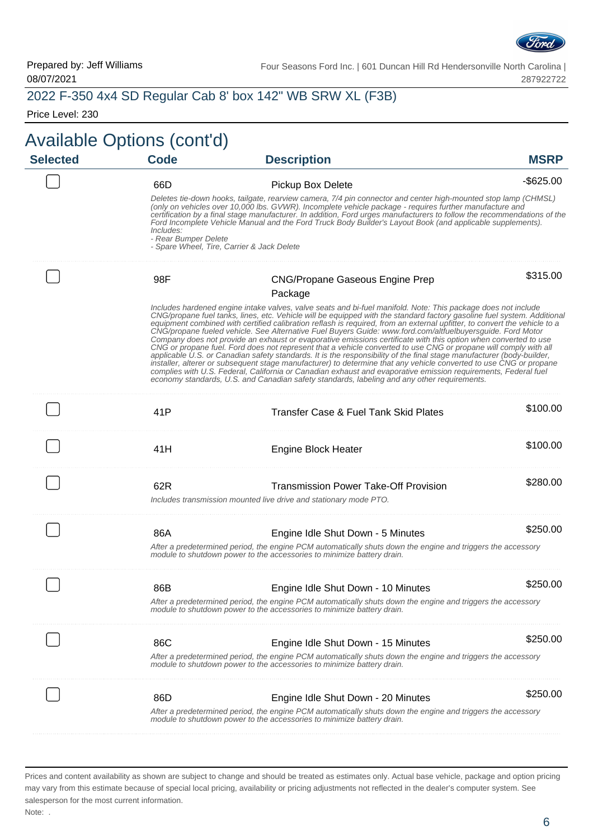

#### 2022 F-350 4x4 SD Regular Cab 8' box 142" WB SRW XL (F3B)

Price Level: 230

#### Available Options (cont'd) **Selected Code Description MSRP** 66D Pickup Box Delete - 1999 Products - \$625.00 Deletes tie-down hooks, tailgate, rearview camera, 7/4 pin connector and center high-mounted stop lamp (CHMSL) (only on vehicles over 10,000 lbs. GVWR). Incomplete vehicle package - requires further manufacture and certification by a final stage manufacturer. In addition, Ford urges manufacturers to follow the recommendations of the Ford Incomplete Vehicle Manual and the Ford Truck Body Builder's Layout Book (and applicable supplements). Includes: - Rear Bumper Delete - Spare Wheel, Tire, Carrier & Jack Delete \$315.00 98F CNG/Propane Gaseous Engine Prep Package Includes hardened engine intake valves, valve seats and bi-fuel manifold. Note: This package does not include CNG/propane fuel tanks, lines, etc. Vehicle will be equipped with the standard factory gasoline fuel system. Additional equipment combined with certified calibration reflash is required, from an external upfitter, to convert the vehicle to a CNG/propane fueled vehicle. See Alternative Fuel Buyers Guide: www.ford.com/altfuelbuyersguide. Ford Motor Company does not provide an exhaust or evaporative emissions certificate with this option when converted to use CNG or propane fuel. Ford does not represent that a vehicle converted to use CNG or propane will comply with all applicable U.S. or Canadian safety standards. It is the responsibility of the final stage manufacturer (body-builder, installer, alterer or subsequent stage manufacturer) to determine that any vehicle converted to use CNG or propane complies with U.S. Federal, California or Canadian exhaust and evaporative emission requirements, Federal fuel economy standards, U.S. and Canadian safety standards, labeling and any other requirements. 41P Transfer Case & Fuel Tank Skid Plates \$100.00 41H **Engine Block Heater 11 State 11** State **\$100.00** . . . . . . . . . . . . . . . . 62R Transmission Power Take-Off Provision \$280.00 Includes transmission mounted live drive and stationary mode PTO. 86A **Engine Idle Shut Down - 5 Minutes** \$250.00 After a predetermined period, the engine PCM automatically shuts down the engine and triggers the accessory module to shutdown power to the accessories to minimize battery drain. 86B **Engine Idle Shut Down - 10 Minutes** \$250.00 After a predetermined period, the engine PCM automatically shuts down the engine and triggers the accessory module to shutdown power to the accessories to minimize battery drain. 86C **Engine Idle Shut Down - 15 Minutes** \$250.00 After a predetermined period, the engine PCM automatically shuts down the engine and triggers the accessory module to shutdown power to the accessories to minimize battery drain. 86D **Engine Idle Shut Down - 20 Minutes** \$250.00 After a predetermined period, the engine PCM automatically shuts down the engine and triggers the accessory module to shutdown power to the accessories to minimize battery drain.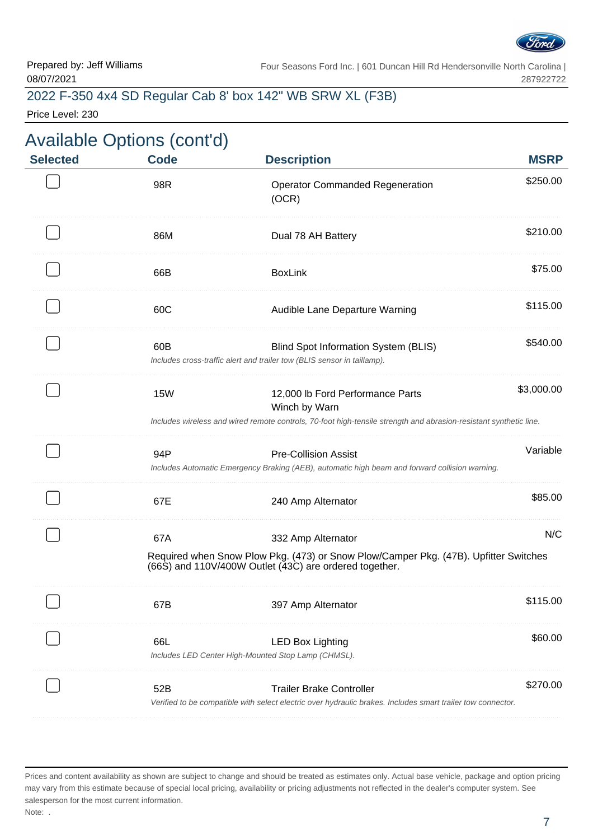

## 2022 F-350 4x4 SD Regular Cab 8' box 142" WB SRW XL (F3B)

Price Level: 230

| <b>MSRP</b> | <b>Description</b>                                                                                                                                                     | <b>Code</b> | <b>Selected</b> |
|-------------|------------------------------------------------------------------------------------------------------------------------------------------------------------------------|-------------|-----------------|
| \$250.00    | <b>Operator Commanded Regeneration</b><br>(OCR)                                                                                                                        | 98R         |                 |
| \$210.00    | Dual 78 AH Battery                                                                                                                                                     | 86M         |                 |
| \$75.00     | <b>BoxLink</b>                                                                                                                                                         | 66B         |                 |
| \$115.00    | Audible Lane Departure Warning                                                                                                                                         | 60C         |                 |
| \$540.00    | Blind Spot Information System (BLIS)<br>Includes cross-traffic alert and trailer tow (BLIS sensor in taillamp).                                                        | 60B         |                 |
| \$3,000.00  | 12,000 lb Ford Performance Parts<br>Winch by Warn<br>Includes wireless and wired remote controls, 70-foot high-tensile strength and abrasion-resistant synthetic line. | <b>15W</b>  |                 |
| Variable    | <b>Pre-Collision Assist</b><br>Includes Automatic Emergency Braking (AEB), automatic high beam and forward collision warning.                                          | 94P         |                 |
| \$85.00     | 240 Amp Alternator                                                                                                                                                     | 67E         |                 |
| N/C         | 332 Amp Alternator<br>Required when Snow Plow Pkg. (473) or Snow Plow/Camper Pkg. (47B). Upfitter Switches                                                             | 67A         |                 |
|             | (66S) and 110V/400W Outlet (43C) are ordered together.                                                                                                                 |             |                 |
| \$115.00    | 397 Amp Alternator                                                                                                                                                     | 67B         |                 |
| \$60.00     | <b>LED Box Lighting</b><br>Includes LED Center High-Mounted Stop Lamp (CHMSL).                                                                                         | 66L         |                 |
| \$270.00    | <b>Trailer Brake Controller</b><br>Verified to be compatible with select electric over hydraulic brakes. Includes smart trailer tow connector.                         | 52B         |                 |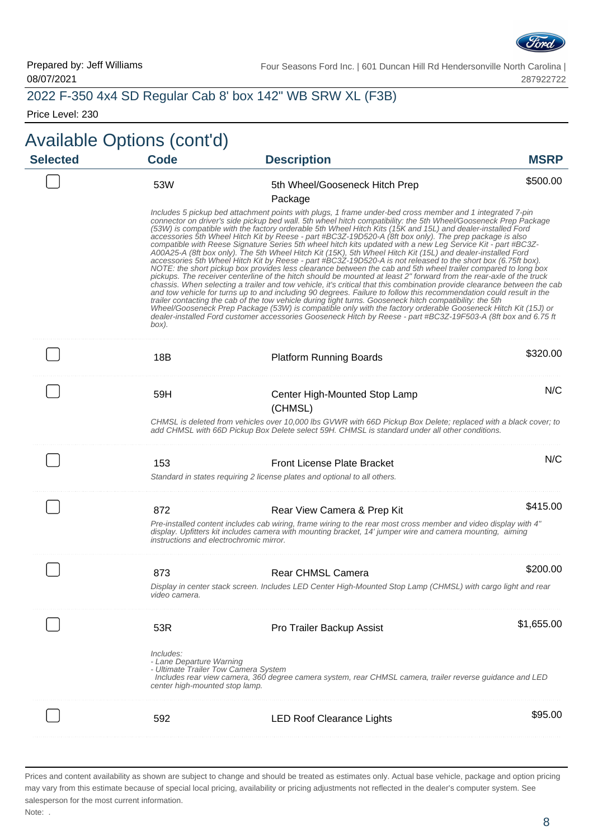

## 2022 F-350 4x4 SD Regular Cab 8' box 142" WB SRW XL (F3B)

Price Level: 230

| <b>MSRP</b> | <b>Description</b>                                                                                                                                                                                                                                                                                                                                                                                                                                                                                                                                                                                                                                                                                                                                                                                                                                                                                                                                                                                                                                                                                                                                                                                                                                                                                                                                                                                                                                                                                                                                                                                                                               | <b>Code</b>                                                                                                     | <b>Selected</b> |
|-------------|--------------------------------------------------------------------------------------------------------------------------------------------------------------------------------------------------------------------------------------------------------------------------------------------------------------------------------------------------------------------------------------------------------------------------------------------------------------------------------------------------------------------------------------------------------------------------------------------------------------------------------------------------------------------------------------------------------------------------------------------------------------------------------------------------------------------------------------------------------------------------------------------------------------------------------------------------------------------------------------------------------------------------------------------------------------------------------------------------------------------------------------------------------------------------------------------------------------------------------------------------------------------------------------------------------------------------------------------------------------------------------------------------------------------------------------------------------------------------------------------------------------------------------------------------------------------------------------------------------------------------------------------------|-----------------------------------------------------------------------------------------------------------------|-----------------|
| \$500.00    | 5th Wheel/Gooseneck Hitch Prep                                                                                                                                                                                                                                                                                                                                                                                                                                                                                                                                                                                                                                                                                                                                                                                                                                                                                                                                                                                                                                                                                                                                                                                                                                                                                                                                                                                                                                                                                                                                                                                                                   | 53W                                                                                                             |                 |
|             | Package                                                                                                                                                                                                                                                                                                                                                                                                                                                                                                                                                                                                                                                                                                                                                                                                                                                                                                                                                                                                                                                                                                                                                                                                                                                                                                                                                                                                                                                                                                                                                                                                                                          |                                                                                                                 |                 |
|             | Includes 5 pickup bed attachment points with plugs, 1 frame under-bed cross member and 1 integrated 7-pin<br>connector on driver's side pickup bed wall. 5th wheel hitch compatibility: the 5th Wheel/Gooseneck Prep Package<br>(53W) is compatible with the factory orderable 5th Wheel Hitch Kits (15K and 15L) and dealer-installed Ford<br>accessories 5th Wheel Hitch Kit by Reese - part #BC3Z-19D520-A (8ft box only). The prep package is also<br>compatible with Reese Signature Series 5th wheel hitch kits updated with a new Leg Service Kit - part #BC3Z-<br>A00A25-A (8ft box only). The 5th Wheel Hitch Kit (15K), 5th Wheel Hitch Kit (15L) and dealer-installed Ford<br>accessories 5th Wheel Hitch Kit by Reese - part #BC3Z-19D520-A is not released to the short box (6.75ft box).<br>NOTE: the short pickup box provides less clearance between the cab and 5th wheel trailer compared to long box<br>pickups. The receiver centerline of the hitch should be mounted at least 2" forward from the rear-axle of the truck<br>chassis. When selecting a trailer and tow vehicle, it's critical that this combination provide clearance between the cab<br>and tow vehicle for turns up to and including 90 degrees. Failure to follow this recommendation could result in the<br>trailer contacting the cab of the tow vehicle during tight turns. Gooseneck hitch compatibility: the 5th<br>Wheel/Gooseneck Prep Package (53W) is compatible only with the factory orderable Gooseneck Hitch Kit (15J) or<br>dealer-installed Ford customer accessories Gooseneck Hitch by Reese - part #BC3Z-19F503-A (8ft box and 6.75 ft | box).                                                                                                           |                 |
| \$320.00    | <b>Platform Running Boards</b>                                                                                                                                                                                                                                                                                                                                                                                                                                                                                                                                                                                                                                                                                                                                                                                                                                                                                                                                                                                                                                                                                                                                                                                                                                                                                                                                                                                                                                                                                                                                                                                                                   | 18B                                                                                                             |                 |
| N/C         | Center High-Mounted Stop Lamp<br>(CHMSL)                                                                                                                                                                                                                                                                                                                                                                                                                                                                                                                                                                                                                                                                                                                                                                                                                                                                                                                                                                                                                                                                                                                                                                                                                                                                                                                                                                                                                                                                                                                                                                                                         | 59H                                                                                                             |                 |
|             | CHMSL is deleted from vehicles over 10,000 lbs GVWR with 66D Pickup Box Delete; replaced with a black cover; to<br>add CHMSL with 66D Pickup Box Delete select 59H. CHMSL is standard under all other conditions.                                                                                                                                                                                                                                                                                                                                                                                                                                                                                                                                                                                                                                                                                                                                                                                                                                                                                                                                                                                                                                                                                                                                                                                                                                                                                                                                                                                                                                |                                                                                                                 |                 |
| N/C         | <b>Front License Plate Bracket</b>                                                                                                                                                                                                                                                                                                                                                                                                                                                                                                                                                                                                                                                                                                                                                                                                                                                                                                                                                                                                                                                                                                                                                                                                                                                                                                                                                                                                                                                                                                                                                                                                               | 153                                                                                                             |                 |
|             | Standard in states requiring 2 license plates and optional to all others.                                                                                                                                                                                                                                                                                                                                                                                                                                                                                                                                                                                                                                                                                                                                                                                                                                                                                                                                                                                                                                                                                                                                                                                                                                                                                                                                                                                                                                                                                                                                                                        |                                                                                                                 |                 |
| \$415.00    | Rear View Camera & Prep Kit                                                                                                                                                                                                                                                                                                                                                                                                                                                                                                                                                                                                                                                                                                                                                                                                                                                                                                                                                                                                                                                                                                                                                                                                                                                                                                                                                                                                                                                                                                                                                                                                                      | 872                                                                                                             |                 |
|             | Pre-installed content includes cab wiring, frame wiring to the rear most cross member and video display with 4"<br>display. Upfitters kit includes camera with mounting bracket, 14' jumper wire and camera mounting, aiming                                                                                                                                                                                                                                                                                                                                                                                                                                                                                                                                                                                                                                                                                                                                                                                                                                                                                                                                                                                                                                                                                                                                                                                                                                                                                                                                                                                                                     | instructions and electrochromic mirror.                                                                         |                 |
| \$200.00    | <b>Rear CHMSL Camera</b>                                                                                                                                                                                                                                                                                                                                                                                                                                                                                                                                                                                                                                                                                                                                                                                                                                                                                                                                                                                                                                                                                                                                                                                                                                                                                                                                                                                                                                                                                                                                                                                                                         | 873                                                                                                             |                 |
|             | Display in center stack screen. Includes LED Center High-Mounted Stop Lamp (CHMSL) with cargo light and rear                                                                                                                                                                                                                                                                                                                                                                                                                                                                                                                                                                                                                                                                                                                                                                                                                                                                                                                                                                                                                                                                                                                                                                                                                                                                                                                                                                                                                                                                                                                                     | video camera.                                                                                                   |                 |
| \$1,655.00  | Pro Trailer Backup Assist                                                                                                                                                                                                                                                                                                                                                                                                                                                                                                                                                                                                                                                                                                                                                                                                                                                                                                                                                                                                                                                                                                                                                                                                                                                                                                                                                                                                                                                                                                                                                                                                                        | 53R                                                                                                             |                 |
|             | Includes rear view camera, 360 degree camera system, rear CHMSL camera, trailer reverse guidance and LED                                                                                                                                                                                                                                                                                                                                                                                                                                                                                                                                                                                                                                                                                                                                                                                                                                                                                                                                                                                                                                                                                                                                                                                                                                                                                                                                                                                                                                                                                                                                         | Includes:<br>- Lane Departure Warning<br>- Ultimate Trailer Tow Camera System<br>center high-mounted stop lamp. |                 |
| \$95.00     | <b>LED Roof Clearance Lights</b>                                                                                                                                                                                                                                                                                                                                                                                                                                                                                                                                                                                                                                                                                                                                                                                                                                                                                                                                                                                                                                                                                                                                                                                                                                                                                                                                                                                                                                                                                                                                                                                                                 | 592                                                                                                             |                 |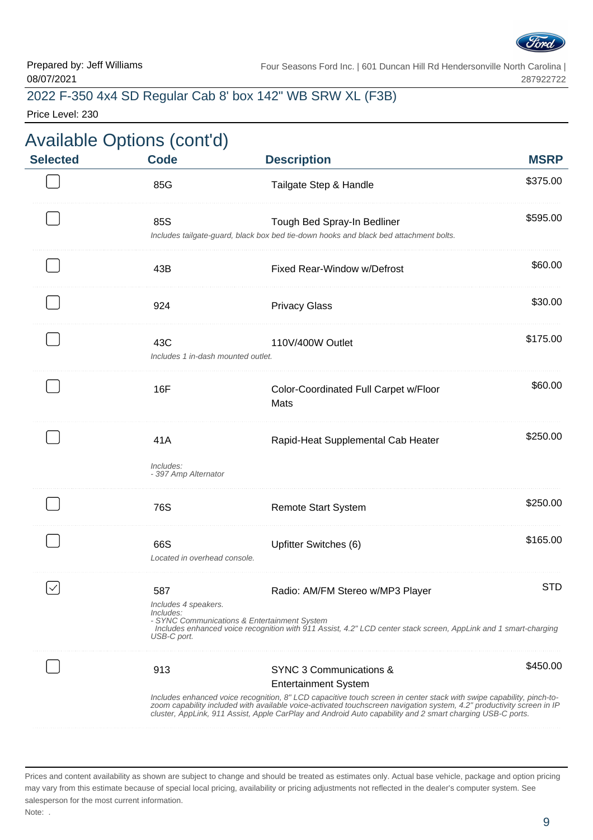

## 2022 F-350 4x4 SD Regular Cab 8' box 142" WB SRW XL (F3B)

Price Level: 230

|             |                                                                                                                                                                                                                                                                                                                                                                                                                      | <b>Available Options (cont'd)</b>                       |                 |
|-------------|----------------------------------------------------------------------------------------------------------------------------------------------------------------------------------------------------------------------------------------------------------------------------------------------------------------------------------------------------------------------------------------------------------------------|---------------------------------------------------------|-----------------|
| <b>MSRP</b> | <b>Description</b>                                                                                                                                                                                                                                                                                                                                                                                                   | <b>Code</b>                                             | <b>Selected</b> |
| \$375.00    | Tailgate Step & Handle                                                                                                                                                                                                                                                                                                                                                                                               | 85G                                                     |                 |
| \$595.00    | Tough Bed Spray-In Bedliner<br>Includes tailgate-guard, black box bed tie-down hooks and black bed attachment bolts.                                                                                                                                                                                                                                                                                                 | 85S                                                     |                 |
| \$60.00     | Fixed Rear-Window w/Defrost                                                                                                                                                                                                                                                                                                                                                                                          | 43B                                                     |                 |
| \$30.00     | <b>Privacy Glass</b>                                                                                                                                                                                                                                                                                                                                                                                                 | 924                                                     |                 |
| \$175.00    | 110V/400W Outlet                                                                                                                                                                                                                                                                                                                                                                                                     | 43C<br>Includes 1 in-dash mounted outlet.               |                 |
| \$60.00     | Color-Coordinated Full Carpet w/Floor<br>Mats                                                                                                                                                                                                                                                                                                                                                                        | 16F                                                     |                 |
| \$250.00    | Rapid-Heat Supplemental Cab Heater                                                                                                                                                                                                                                                                                                                                                                                   | 41A<br>Includes:<br>- 397 Amp Alternator                |                 |
| \$250.00    | <b>Remote Start System</b>                                                                                                                                                                                                                                                                                                                                                                                           | 76S                                                     |                 |
| \$165.00    | Upfitter Switches (6)                                                                                                                                                                                                                                                                                                                                                                                                | 66S<br>Located in overhead console.                     |                 |
| <b>STD</b>  | Radio: AM/FM Stereo w/MP3 Player<br>- SYNC Communications & Entertainment System<br>Includes enhanced voice recognition with 911 Assist, 4.2" LCD center stack screen, AppLink and 1 smart-charging                                                                                                                                                                                                                  | 587<br>Includes 4 speakers.<br>Includes:<br>USB-C port. |                 |
| \$450.00    | SYNC 3 Communications &<br><b>Entertainment System</b><br>Includes enhanced voice recognition, 8" LCD capacitive touch screen in center stack with swipe capability, pinch-to-<br>zoom capability included with available voice-activated touchscreen navigation system, 4.2" productivity screen in IP<br>cluster, AppLink, 911 Assist, Apple CarPlay and Android Auto capability and 2 smart charging USB-C ports. | 913                                                     |                 |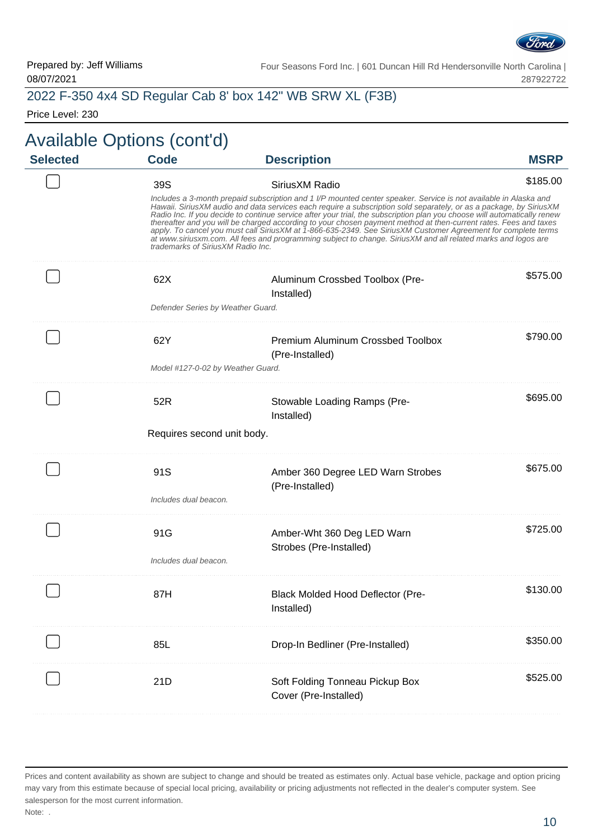

#### 2022 F-350 4x4 SD Regular Cab 8' box 142" WB SRW XL (F3B)

Price Level: 230

#### Available Options (cont'd) **Selected Code Description MSRP** 39S SiriusXM Radio \$185.00 Includes a 3-month prepaid subscription and 1 I/P mounted center speaker. Service is not available in Alaska and Hawaii. SiriusXM audio and data services each require a subscription sold separately, or as a package, by SiriusXM Radio Inc. If you decide to continue service after your trial, the subscription plan you choose will automatically renew thereafter and you will be charged according to your chosen payment method at then-current rates. Fees and taxes apply. To cancel you must call SiriusXM at 1-866-635-2349. See SiriusXM Customer Agreement for complete terms at www.siriusxm.com. All fees and programming subject to change. SiriusXM and all related marks and logos are trademarks of SiriusXM Radio Inc. \$575.00 62X Aluminum Crossbed Toolbox (Pre-Installed) Defender Series by Weather Guard. \$790.00 62Y Premium Aluminum Crossbed Toolbox (Pre-Installed) Model #127-0-02 by Weather Guard. \$695.00 52R Stowable Loading Ramps (Pre-Installed) Requires second unit body. \$675.00 91S **Amber 360 Degree LED Warn Strobes** (Pre-Installed) Includes dual beacon. . . . . . . . . . . . . . . . \$725.00 91G **Amber-Wht 360 Deg LED Warn** Strobes (Pre-Installed) Includes dual beacon. \$130.00 87H Black Molded Hood Deflector (Pre-Installed) . . . . . . . . . . . . . . . . . 85L Drop-In Bedliner (Pre-Installed) \$350.00 . . . . . . . . . . . . . . . . \$525.00 21D Soft Folding Tonneau Pickup Box Cover (Pre-Installed)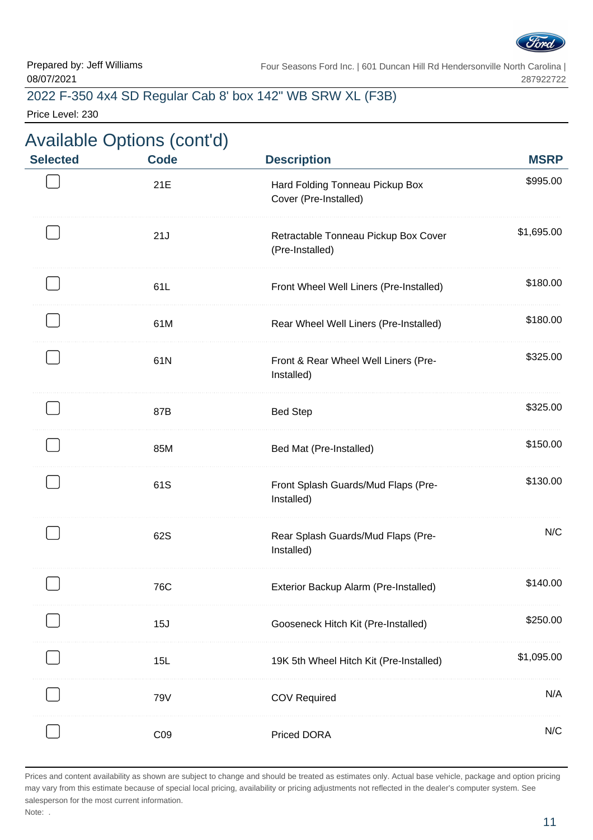

\$995.00

\$1,695.00

\$325.00

\$130.00

. . . . . . . . . . . . . . . . .

. . . . . . . . . . . . . . . .

. . . . . . . . . . . . . .

N/C

Four Seasons Ford Inc. | 601 Duncan Hill Rd Hendersonville North Carolina | 287922722

#### 2022 F-350 4x4 SD Regular Cab 8' box 142" WB SRW XL (F3B)

Price Level: 230

# Available Options (cont'd) **Selected Code Description MSRP** 21E **Hard Folding Tonneau Pickup Box** Cover (Pre-Installed) 21J Retractable Tonneau Pickup Box Cover (Pre-Installed) 61L Front Wheel Well Liners (Pre-Installed) \$180.00 61M Rear Wheel Well Liners (Pre-Installed) \$180.00 61N Front & Rear Wheel Well Liners (Pre-Installed) 87B Bed Step \$325.00 85M Bed Mat (Pre-Installed) \$150.00 61S Front Splash Guards/Mud Flaps (Pre-Installed) 62S Rear Splash Guards/Mud Flaps (Pre-Installed)

|     | n                                       |            |
|-----|-----------------------------------------|------------|
| 76C | Exterior Backup Alarm (Pre-Installed)   | \$140.00   |
| 15J | Gooseneck Hitch Kit (Pre-Installed)     | \$250.00   |
| 15L | 19K 5th Wheel Hitch Kit (Pre-Installed) | \$1,095.00 |
| 79V | <b>COV Required</b>                     | N/A        |
|     | <b>Priced DORA</b>                      | N/C        |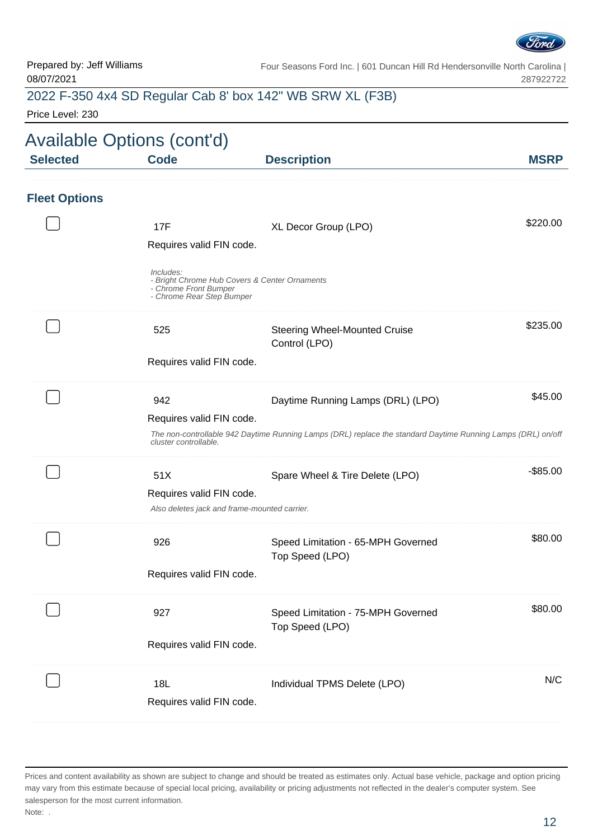

## 2022 F-350 4x4 SD Regular Cab 8' box 142" WB SRW XL (F3B)

Price Level: 230

| <b>Selected</b>      | <b>Available Options (cont'd)</b><br><b>Code</b>                | <b>Description</b>                                                                                           | <b>MSRP</b> |
|----------------------|-----------------------------------------------------------------|--------------------------------------------------------------------------------------------------------------|-------------|
| <b>Fleet Options</b> |                                                                 |                                                                                                              |             |
|                      | 17F<br>Requires valid FIN code.                                 | XL Decor Group (LPO)                                                                                         | \$220.00    |
|                      | Includes:<br>- Chrome Front Bumper<br>- Chrome Rear Step Bumper | - Bright Chrome Hub Covers & Center Ornaments                                                                |             |
|                      | 525                                                             | <b>Steering Wheel-Mounted Cruise</b><br>Control (LPO)                                                        | \$235.00    |
|                      | Requires valid FIN code.                                        |                                                                                                              |             |
|                      | 942                                                             | Daytime Running Lamps (DRL) (LPO)                                                                            | \$45.00     |
|                      | Requires valid FIN code.<br>cluster controllable                | The non-controllable 942 Daytime Running Lamps (DRL) replace the standard Daytime Running Lamps (DRL) on/off |             |
|                      | 51X                                                             | Spare Wheel & Tire Delete (LPO)                                                                              | $-$ \$85.00 |
|                      | Requires valid FIN code.                                        | Also deletes jack and frame-mounted carrier.                                                                 |             |
|                      | 926                                                             | Speed Limitation - 65-MPH Governed<br>Top Speed (LPO)                                                        | \$80.00     |
|                      | Requires valid FIN code.                                        |                                                                                                              |             |
|                      | 927                                                             | Speed Limitation - 75-MPH Governed<br>Top Speed (LPO)                                                        | \$80.00     |
|                      | Requires valid FIN code.                                        |                                                                                                              |             |
|                      | 18L<br>Requires valid FIN code.                                 | Individual TPMS Delete (LPO)                                                                                 | N/C         |

Prices and content availability as shown are subject to change and should be treated as estimates only. Actual base vehicle, package and option pricing may vary from this estimate because of special local pricing, availability or pricing adjustments not reflected in the dealer's computer system. See salesperson for the most current information. Note: .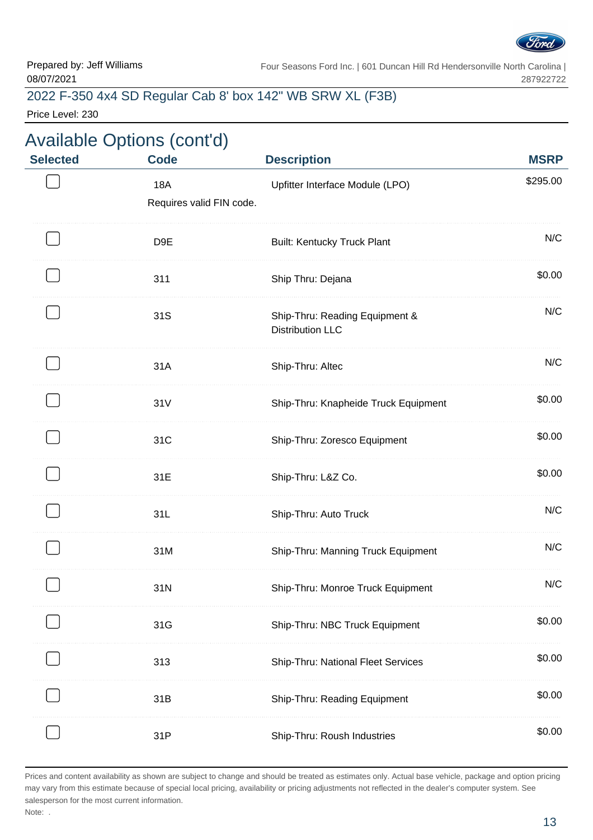

#### 2022 F-350 4x4 SD Regular Cab 8' box 142" WB SRW XL (F3B)

Price Level: 230

# Available Options (cont'd)

| <b>Selected</b> | <b>Code</b>                     | <b>Description</b>                                        | <b>MSRP</b> |
|-----------------|---------------------------------|-----------------------------------------------------------|-------------|
|                 | 18A<br>Requires valid FIN code. | Upfitter Interface Module (LPO)                           | \$295.00    |
|                 | D <sub>9E</sub>                 | <b>Built: Kentucky Truck Plant</b>                        | N/C         |
|                 | 311                             | Ship Thru: Dejana                                         | \$0.00      |
|                 | 31S                             | Ship-Thru: Reading Equipment &<br><b>Distribution LLC</b> | N/C         |
|                 | 31A                             | Ship-Thru: Altec                                          | N/C         |
|                 | 31V                             | Ship-Thru: Knapheide Truck Equipment                      | \$0.00      |
|                 | 31C                             | Ship-Thru: Zoresco Equipment                              | \$0.00      |
|                 | 31E                             | Ship-Thru: L&Z Co.                                        | \$0.00      |
|                 | 31L                             | Ship-Thru: Auto Truck                                     | N/C         |
|                 | 31M                             | Ship-Thru: Manning Truck Equipment                        | N/C         |
|                 | 31N                             | Ship-Thru: Monroe Truck Equipment                         | N/C         |
|                 | 31G                             | Ship-Thru: NBC Truck Equipment                            | \$0.00      |
|                 | 313                             | Ship-Thru: National Fleet Services                        | \$0.00      |
|                 | 31B                             | Ship-Thru: Reading Equipment                              | \$0.00      |
|                 | 31P                             | Ship-Thru: Roush Industries                               | \$0.00      |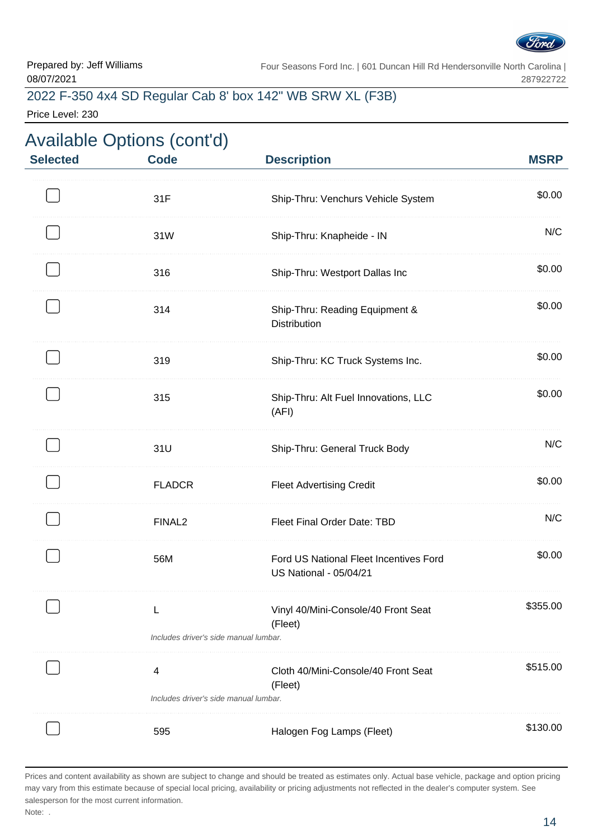

# 2022 F-350 4x4 SD Regular Cab 8' box 142" WB SRW XL (F3B)

Price Level: 230

| <b>Selected</b> | <b>Available Options (cont'd)</b><br><b>Code</b> | <b>Description</b>                                                      | <b>MSRP</b> |
|-----------------|--------------------------------------------------|-------------------------------------------------------------------------|-------------|
|                 | 31F                                              | Ship-Thru: Venchurs Vehicle System                                      | \$0.00      |
|                 | 31W                                              | Ship-Thru: Knapheide - IN                                               | N/C         |
|                 | 316                                              | Ship-Thru: Westport Dallas Inc                                          | \$0.00      |
|                 | 314                                              | Ship-Thru: Reading Equipment &<br><b>Distribution</b>                   | \$0.00      |
|                 | 319                                              | Ship-Thru: KC Truck Systems Inc.                                        | \$0.00      |
|                 | 315                                              | Ship-Thru: Alt Fuel Innovations, LLC<br>(AFI)                           | \$0.00      |
|                 | 31U                                              | Ship-Thru: General Truck Body                                           | N/C         |
|                 | <b>FLADCR</b>                                    | <b>Fleet Advertising Credit</b>                                         | \$0.00      |
|                 | FINAL <sub>2</sub>                               | Fleet Final Order Date: TBD                                             | N/C         |
|                 | 56M                                              | Ford US National Fleet Incentives Ford<br><b>US National - 05/04/21</b> | \$0.00      |
|                 | L<br>Includes driver's side manual lumbar.       | Vinyl 40/Mini-Console/40 Front Seat<br>(Fleet)                          | \$355.00    |
|                 | 4<br>Includes driver's side manual lumbar.       | Cloth 40/Mini-Console/40 Front Seat<br>(Fleet)                          | \$515.00    |
|                 | 595                                              | Halogen Fog Lamps (Fleet)                                               | \$130.00    |